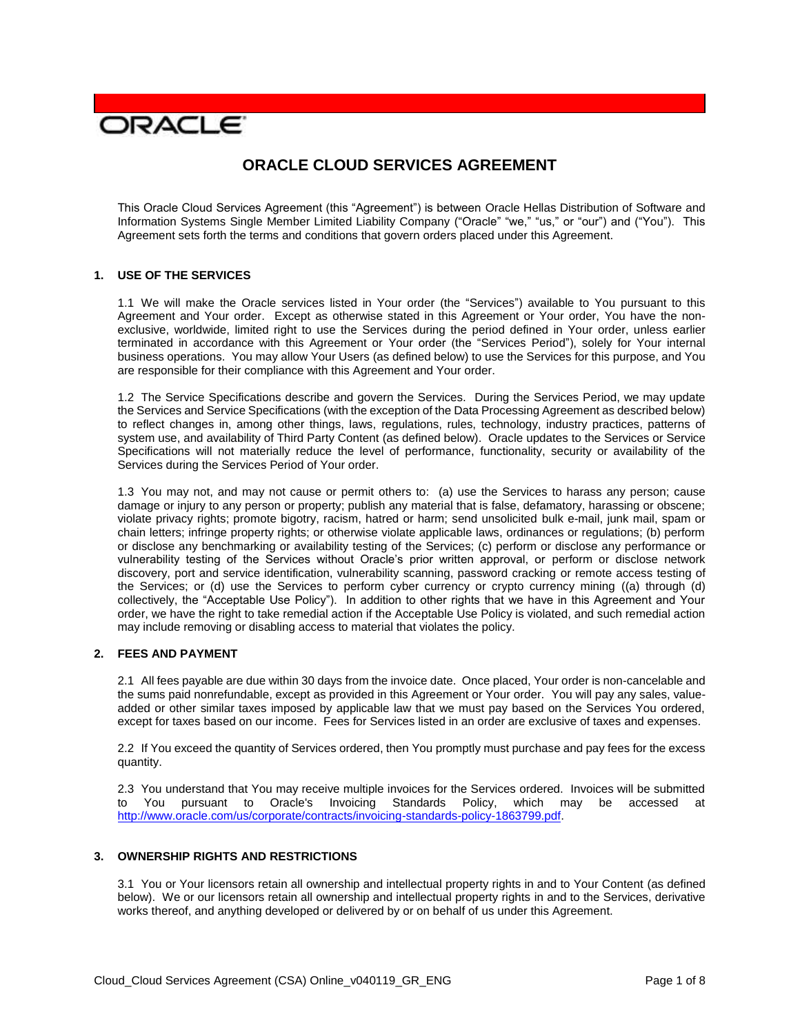# **JRACLE**

# **ORACLE CLOUD SERVICES AGREEMENT**

 This Oracle Cloud Services Agreement (this "Agreement") is between Oracle Hellas Distribution of Software and Information Systems Single Member Limited Liability Company ("Oracle" "we," "us," or "our") and ("You"). This Agreement sets forth the terms and conditions that govern orders placed under this Agreement.

#### **1. USE OF THE SERVICES**

 1.1 We will make the Oracle services listed in Your order (the "Services") available to You pursuant to this Agreement and Your order. Except as otherwise stated in this Agreement or Your order, You have the non- exclusive, worldwide, limited right to use the Services during the period defined in Your order, unless earlier terminated in accordance with this Agreement or Your order (the "Services Period"), solely for Your internal business operations. You may allow Your Users (as defined below) to use the Services for this purpose, and You are responsible for their compliance with this Agreement and Your order.

 1.2 The Service Specifications describe and govern the Services. During the Services Period, we may update the Services and Service Specifications (with the exception of the Data Processing Agreement as described below) to reflect changes in, among other things, laws, regulations, rules, technology, industry practices, patterns of Specifications will not materially reduce the level of performance, functionality, security or availability of the Services during the Services Period of Your order. system use, and availability of Third Party Content (as defined below). Oracle updates to the Services or Service

Services during the Services Period of Your order.<br>1.3 You may not, and may not cause or permit others to: (a) use the Services to harass any person; cause damage or injury to any person or property; publish any material that is false, defamatory, harassing or obscene; violate privacy rights; promote bigotry, racism, hatred or harm; send unsolicited bulk e-mail, junk mail, spam or chain letters; infringe property rights; or otherwise violate applicable laws, ordinances or regulations; (b) perform or disclose any benchmarking or availability testing of the Services; (c) perform or disclose any performance or vulnerability testing of the Services without Oracle's prior written approval, or perform or disclose network discovery, port and service identification, vulnerability scanning, password cracking or remote access testing of the Services; or (d) use the Services to perform cyber currency or crypto currency mining ((a) through (d) collectively, the "Acceptable Use Policy"). In addition to other rights that we have in this Agreement and Your may include removing or disabling access to material that violates the policy. order, we have the right to take remedial action if the Acceptable Use Policy is violated, and such remedial action

# **2. FEES AND PAYMENT**

 2.1 All fees payable are due within 30 days from the invoice date. Once placed, Your order is non-cancelable and added or other similar taxes imposed by applicable law that we must pay based on the Services You ordered, except for taxes based on our income. Fees for Services listed in an order are exclusive of taxes and expenses. the sums paid nonrefundable, except as provided in this Agreement or Your order. You will pay any sales, value-

 2.2 If You exceed the quantity of Services ordered, then You promptly must purchase and pay fees for the excess quantity.

quantity.<br>2.3 You understand that You may receive multiple invoices for the Services ordered. Invoices will be submitted to You pursuant to Oracle's Invoicing Standards Policy, which may be accessed at [http://www.oracle.com/us/corporate/contracts/invoicing-standards-policy-1863799.pdf.](http://www.oracle.com/us/corporate/contracts/invoicing-standards-policy-1863799.pdf)

#### **3. OWNERSHIP RIGHTS AND RESTRICTIONS**

 3.1 You or Your licensors retain all ownership and intellectual property rights in and to Your Content (as defined below). We or our licensors retain all ownership and intellectual property rights in and to the Services, derivative works thereof, and anything developed or delivered by or on behalf of us under this Agreement.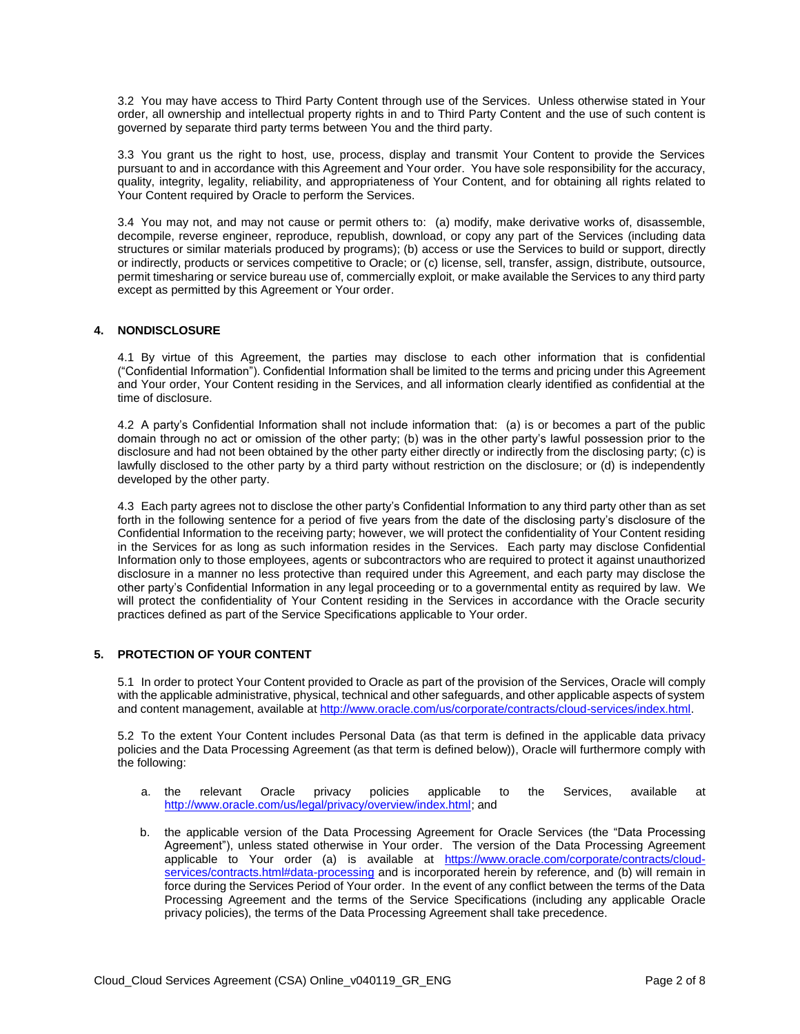3.2 You may have access to Third Party Content through use of the Services. Unless otherwise stated in Your order, all ownership and intellectual property rights in and to Third Party Content and the use of such content is governed by separate third party terms between You and the third party.

 3.3 You grant us the right to host, use, process, display and transmit Your Content to provide the Services pursuant to and in accordance with this Agreement and Your order. You have sole responsibility for the accuracy, quality, integrity, legality, reliability, and appropriateness of Your Content, and for obtaining all rights related to Your Content required by Oracle to perform the Services.

 3.4 You may not, and may not cause or permit others to: (a) modify, make derivative works of, disassemble, decompile, reverse engineer, reproduce, republish, download, or copy any part of the Services (including data structures or similar materials produced by programs); (b) access or use the Services to build or support, directly or indirectly, products or services competitive to Oracle; or (c) license, sell, transfer, assign, distribute, outsource, permit timesharing or service bureau use of, commercially exploit, or make available the Services to any third party except as permitted by this Agreement or Your order.

# **4. NONDISCLOSURE**

 4.1 By virtue of this Agreement, the parties may disclose to each other information that is confidential ("Confidential Information"). Confidential Information shall be limited to the terms and pricing under this Agreement and Your order, Your Content residing in the Services, and all information clearly identified as confidential at the time of disclosure.

time of disclosure.<br>4.2 A party's Confidential Information shall not include information that: (a) is or becomes a part of the public domain through no act or omission of the other party; (b) was in the other party's lawful possession prior to the disclosure and had not been obtained by the other party either directly or indirectly from the disclosing party; (c) is lawfully disclosed to the other party by a third party without restriction on the disclosure; or (d) is independently developed by the other party.

developed by the other party.<br>4.3 Each party agrees not to disclose the other party's Confidential Information to any third party other than as set forth in the following sentence for a period of five years from the date of the disclosing party's disclosure of the Confidential Information to the receiving party; however, we will protect the confidentiality of Your Content residing in the Services for as long as such information resides in the Services. Each party may disclose Confidential Information only to those employees, agents or subcontractors who are required to protect it against unauthorized disclosure in a manner no less protective than required under this Agreement, and each party may disclose the other party's Confidential Information in any legal proceeding or to a governmental entity as required by law. We will protect the confidentiality of Your Content residing in the Services in accordance with the Oracle security practices defined as part of the Service Specifications applicable to Your order.

# **5. PROTECTION OF YOUR CONTENT**

 5.1 In order to protect Your Content provided to Oracle as part of the provision of the Services, Oracle will comply with the applicable administrative, physical, technical and other safeguards, and other applicable aspects of system and content management, available at http://www.oracle.com/us/corporate/contracts/cloud-services/index.html.

and content management, available at <u>http://www.oracle.com/us/corporate/contracts/cloud-services/index.html</u>.<br>5.2 To the extent Your Content includes Personal Data (as that term is defined in the applicable data privacy policies and the Data Processing Agreement (as that term is defined below)), Oracle will furthermore comply with the following:

- a. the relevant Oracle privacy policies applicable to the Services, available at [http://www.oracle.com/us/legal/privacy/overview/index.html;](http://www.oracle.com/us/legal/privacy/overview/index.html) and
- b. the applicable version of the Data Processing Agreement for Oracle Services (the "Data Processing Agreement"), unless stated otherwise in Your order. The version of the Data Processing Agreement applicable to Your order (a) is available at [https://www.oracle.com/corporate/contracts/cloud](https://www.oracle.com/corporate/contracts/cloud-services/contracts.html#data-processing)[services/contracts.html#data-processing](https://www.oracle.com/corporate/contracts/cloud-services/contracts.html#data-processing) and is incorporated herein by reference, and (b) will remain in force during the Services Period of Your order. In the event of any conflict between the terms of the Data Processing Agreement and the terms of the Service Specifications (including any applicable Oracle privacy policies), the terms of the Data Processing Agreement shall take precedence.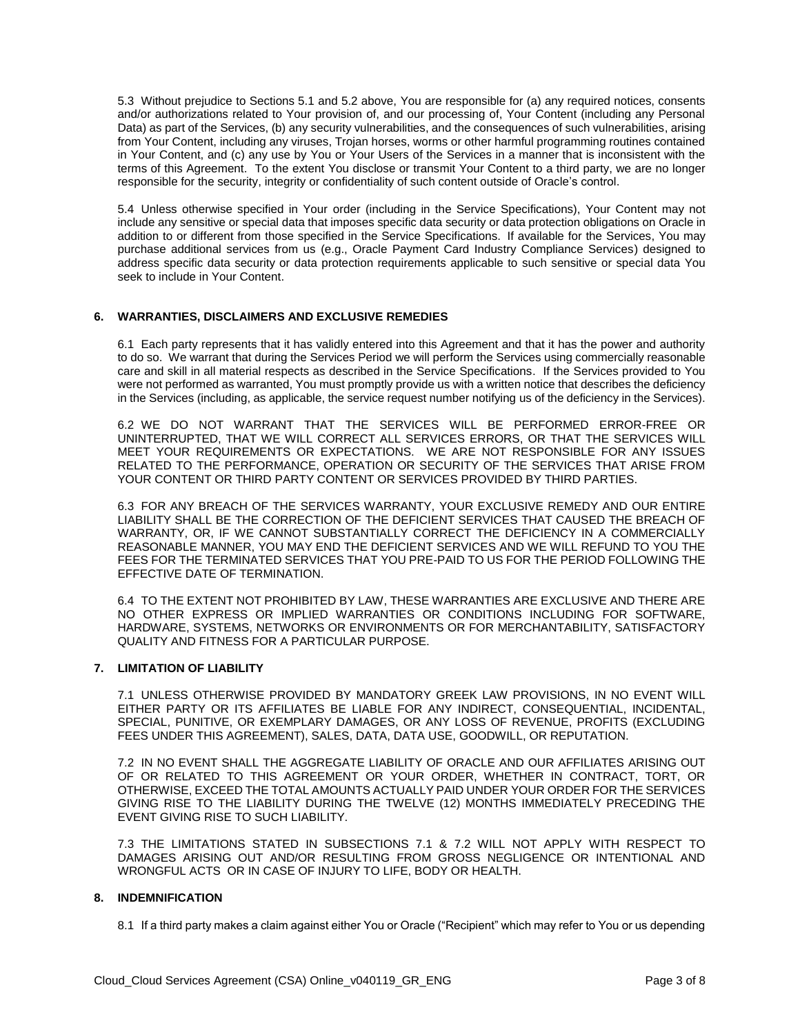5.3 Without prejudice to Sections 5.1 and 5.2 above, You are responsible for (a) any required notices, consents and/or authorizations related to Your provision of, and our processing of, Your Content (including any Personal Data) as part of the Services, (b) any security vulnerabilities, and the consequences of such vulnerabilities, arising from Your Content, including any viruses, Trojan horses, worms or other harmful programming routines contained in Your Content, and (c) any use by You or Your Users of the Services in a manner that is inconsistent with the terms of this Agreement. To the extent You disclose or transmit Your Content to a third party, we are no longer responsible for the security, integrity or confidentiality of such content outside of Oracle's control.

responsible for the security, integrity or confidentiality of such content outside of Oracle's control.<br>5.4 Unless otherwise specified in Your order (including in the Service Specifications), Your Content may not include any sensitive or special data that imposes specific data security or data protection obligations on Oracle in addition to or different from those specified in the Service Specifications. If available for the Services, You may purchase additional services from us (e.g., Oracle Payment Card Industry Compliance Services) designed to address specific data security or data protection requirements applicable to such sensitive or special data You seek to include in Your Content.

#### **6. WARRANTIES, DISCLAIMERS AND EXCLUSIVE REMEDIES**

 6.1 Each party represents that it has validly entered into this Agreement and that it has the power and authority to do so. We warrant that during the Services Period we will perform the Services using commercially reasonable care and skill in all material respects as described in the Service Specifications. If the Services provided to You were not performed as warranted, You must promptly provide us with a written notice that describes the deficiency in the Services (including, as applicable, the service request number notifying us of the deficiency in the Services).

 UNINTERRUPTED, THAT WE WILL CORRECT ALL SERVICES ERRORS, OR THAT THE SERVICES WILL MEET YOUR REQUIREMENTS OR EXPECTATIONS. WE ARE NOT RESPONSIBLE FOR ANY ISSUES 6.2 WE DO NOT WARRANT THAT THE SERVICES WILL BE PERFORMED ERROR-FREE OR RELATED TO THE PERFORMANCE, OPERATION OR SECURITY OF THE SERVICES THAT ARISE FROM YOUR CONTENT OR THIRD PARTY CONTENT OR SERVICES PROVIDED BY THIRD PARTIES.

 6.3 FOR ANY BREACH OF THE SERVICES WARRANTY, YOUR EXCLUSIVE REMEDY AND OUR ENTIRE LIABILITY SHALL BE THE CORRECTION OF THE DEFICIENT SERVICES THAT CAUSED THE BREACH OF REASONABLE MANNER, YOU MAY END THE DEFICIENT SERVICES AND WE WILL REFUND TO YOU THE WARRANTY, OR, IF WE CANNOT SUBSTANTIALLY CORRECT THE DEFICIENCY IN A COMMERCIALLY FEES FOR THE TERMINATED SERVICES THAT YOU PRE-PAID TO US FOR THE PERIOD FOLLOWING THE EFFECTIVE DATE OF TERMINATION.

 6.4 TO THE EXTENT NOT PROHIBITED BY LAW, THESE WARRANTIES ARE EXCLUSIVE AND THERE ARE NO OTHER EXPRESS OR IMPLIED WARRANTIES OR CONDITIONS INCLUDING FOR SOFTWARE,  QUALITY AND FITNESS FOR A PARTICULAR PURPOSE. HARDWARE, SYSTEMS, NETWORKS OR ENVIRONMENTS OR FOR MERCHANTABILITY, SATISFACTORY

# **7. LIMITATION OF LIABILITY**

 7.1 UNLESS OTHERWISE PROVIDED BY MANDATORY GREEK LAW PROVISIONS, IN NO EVENT WILL EITHER PARTY OR ITS AFFILIATES BE LIABLE FOR ANY INDIRECT, CONSEQUENTIAL, INCIDENTAL, SPECIAL, PUNITIVE, OR EXEMPLARY DAMAGES, OR ANY LOSS OF REVENUE, PROFITS (EXCLUDING FEES UNDER THIS AGREEMENT), SALES, DATA, DATA USE, GOODWILL, OR REPUTATION.

 7.2 IN NO EVENT SHALL THE AGGREGATE LIABILITY OF ORACLE AND OUR AFFILIATES ARISING OUT OTHERWISE, EXCEED THE TOTAL AMOUNTS ACTUALLY PAID UNDER YOUR ORDER FOR THE SERVICES GIVING RISE TO THE LIABILITY DURING THE TWELVE (12) MONTHS IMMEDIATELY PRECEDING THE OF OR RELATED TO THIS AGREEMENT OR YOUR ORDER, WHETHER IN CONTRACT, TORT, OR EVENT GIVING RISE TO SUCH LIABILITY.

 7.3 THE LIMITATIONS STATED IN SUBSECTIONS 7.1 & 7.2 WILL NOT APPLY WITH RESPECT TO DAMAGES ARISING OUT AND/OR RESULTING FROM GROSS NEGLIGENCE OR INTENTIONAL AND WRONGFUL ACTS OR IN CASE OF INJURY TO LIFE, BODY OR HEALTH.

#### **8. INDEMNIFICATION**

8.1 If a third party makes a claim against either You or Oracle ("Recipient" which may refer to You or us depending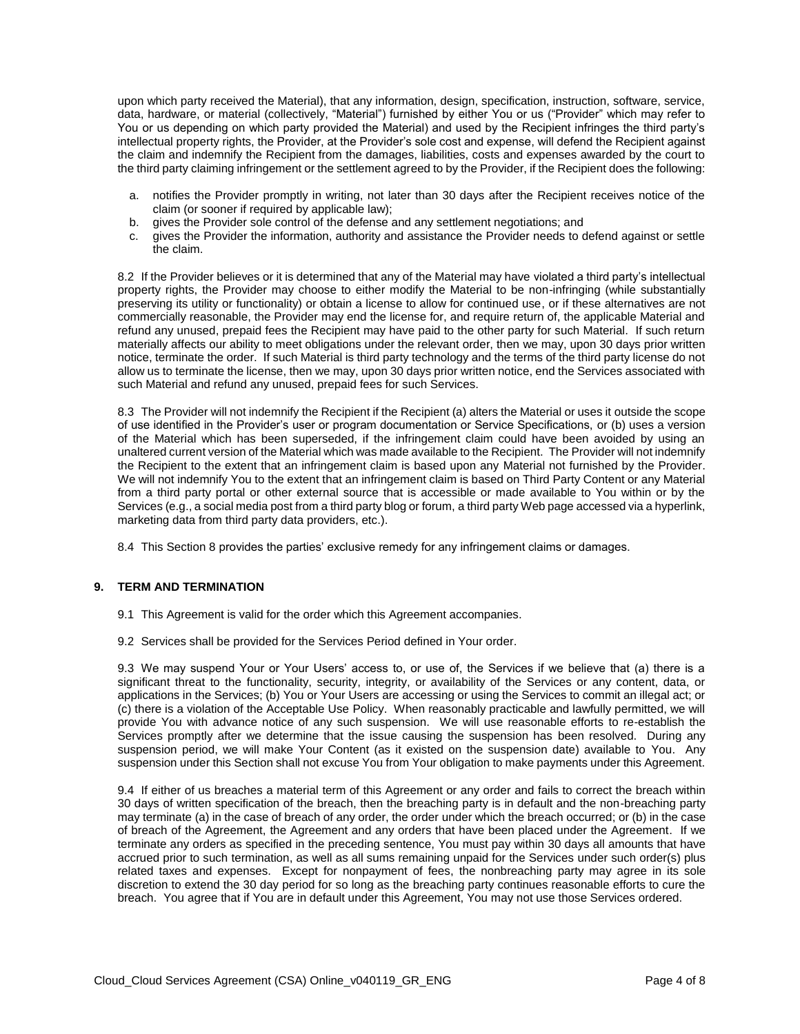upon which party received the Material), that any information, design, specification, instruction, software, service, data, hardware, or material (collectively, "Material") furnished by either You or us ("Provider" which may refer to You or us depending on which party provided the Material) and used by the Recipient infringes the third party's intellectual property rights, the Provider, at the Provider's sole cost and expense, will defend the Recipient against the claim and indemnify the Recipient from the damages, liabilities, costs and expenses awarded by the court to the third party claiming infringement or the settlement agreed to by the Provider, if the Recipient does the following:

- a. notifies the Provider promptly in writing, not later than 30 days after the Recipient receives notice of the claim (or sooner if required by applicable law);
- b. gives the Provider sole control of the defense and any settlement negotiations; and
- c. gives the Provider the information, authority and assistance the Provider needs to defend against or settle the claim.

 8.2 If the Provider believes or it is determined that any of the Material may have violated a third party's intellectual property rights, the Provider may choose to either modify the Material to be non-infringing (while substantially preserving its utility or functionality) or obtain a license to allow for continued use, or if these alternatives are not commercially reasonable, the Provider may end the license for, and require return of, the applicable Material and refund any unused, prepaid fees the Recipient may have paid to the other party for such Material. If such return notice, terminate the order. If such Material is third party technology and the terms of the third party license do not allow us to terminate the license, then we may, upon 30 days prior written notice, end the Services associated with such Material and refund any unused, prepaid fees for such Services. materially affects our ability to meet obligations under the relevant order, then we may, upon 30 days prior written

such Material and refund any unused, prepaid fees for such Services.<br>8.3 The Provider will not indemnify the Recipient if the Recipient (a) alters the Material or uses it outside the scope of use identified in the Provider's user or program documentation or Service Specifications, or (b) uses a version of the Material which has been superseded, if the infringement claim could have been avoided by using an unaltered current version of the Material which was made available to the Recipient. The Provider will not indemnify the Recipient to the extent that an infringement claim is based upon any Material not furnished by the Provider. We will not indemnify You to the extent that an infringement claim is based on Third Party Content or any Material from a third party portal or other external source that is accessible or made available to You within or by the Services (e.g., a social media post from a third party blog or forum, a third party Web page accessed via a hyperlink, marketing data from third party data providers, etc.).

8.4 This Section 8 provides the parties' exclusive remedy for any infringement claims or damages.

#### **9. TERM AND TERMINATION**

- 9.1 This Agreement is valid for the order which this Agreement accompanies.
- 9.2 Services shall be provided for the Services Period defined in Your order.

 9.3 We may suspend Your or Your Users' access to, or use of, the Services if we believe that (a) there is a significant threat to the functionality, security, integrity, or availability of the Services or any content, data, or applications in the Services; (b) You or Your Users are accessing or using the Services to commit an illegal act; or (c) there is a violation of the Acceptable Use Policy. When reasonably practicable and lawfully permitted, we will provide You with advance notice of any such suspension. We will use reasonable efforts to re-establish the Services promptly after we determine that the issue causing the suspension has been resolved. During any suspension period, we will make Your Content (as it existed on the suspension date) available to You. Any suspension under this Section shall not excuse You from Your obligation to make payments under this Agreement.

 9.4 If either of us breaches a material term of this Agreement or any order and fails to correct the breach within 30 days of written specification of the breach, then the breaching party is in default and the non-breaching party may terminate (a) in the case of breach of any order, the order under which the breach occurred; or (b) in the case of breach of the Agreement, the Agreement and any orders that have been placed under the Agreement. If we terminate any orders as specified in the preceding sentence, You must pay within 30 days all amounts that have accrued prior to such termination, as well as all sums remaining unpaid for the Services under such order(s) plus related taxes and expenses. Except for nonpayment of fees, the nonbreaching party may agree in its sole discretion to extend the 30 day period for so long as the breaching party continues reasonable efforts to cure the breach. You agree that if You are in default under this Agreement, You may not use those Services ordered.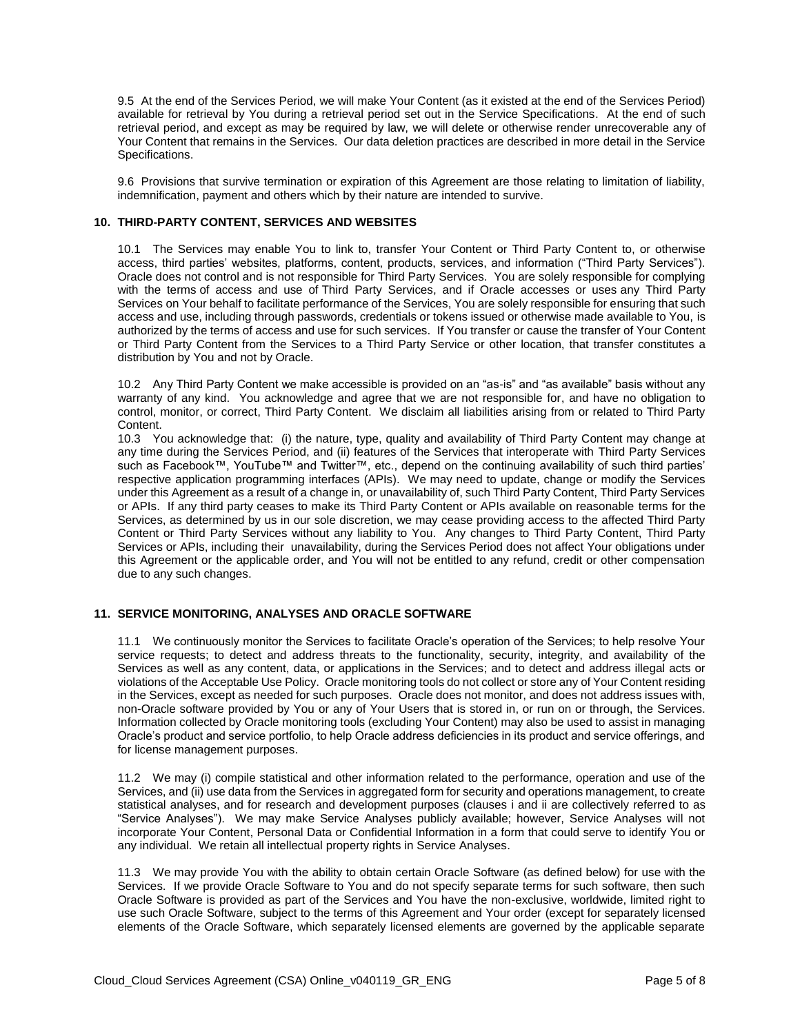9.5 At the end of the Services Period, we will make Your Content (as it existed at the end of the Services Period) available for retrieval by You during a retrieval period set out in the Service Specifications. At the end of such retrieval period, and except as may be required by law, we will delete or otherwise render unrecoverable any of Your Content that remains in the Services. Our data deletion practices are described in more detail in the Service Specifications.

Specifications.<br>9.6 Provisions that survive termination or expiration of this Agreement are those relating to limitation of liability, indemnification, payment and others which by their nature are intended to survive.

#### **10. THIRD-PARTY CONTENT, SERVICES AND WEBSITES**

 10.1 The Services may enable You to link to, transfer Your Content or Third Party Content to, or otherwise access, third parties' websites, platforms, content, products, services, and information ("Third Party Services"). Oracle does not control and is not responsible for Third Party Services. You are solely responsible for complying with the terms of access and use of Third Party Services, and if Oracle accesses or uses any Third Party Services on Your behalf to facilitate performance of the Services, You are solely responsible for ensuring that such access and use, including through passwords, credentials or tokens issued or otherwise made available to You, is authorized by the terms of access and use for such services. If You transfer or cause the transfer of Your Content or Third Party Content from the Services to a Third Party Service or other location, that transfer constitutes a distribution by You and not by Oracle.

 warranty of any kind. You acknowledge and agree that we are not responsible for, and have no obligation to control, monitor, or correct, Third Party Content. We disclaim all liabilities arising from or related to Third Party Content. 10.2 Any Third Party Content we make accessible is provided on an "as-is" and "as available" basis without any

Content.<br>10.3 You acknowledge that: (i) the nature, type, quality and availability of Third Party Content may change at any time during the Services Period, and (ii) features of the Services that interoperate with Third Party Services such as Facebook™, YouTube™ and Twitter™, etc., depend on the continuing availability of such third parties' respective application programming interfaces (APIs). We may need to update, change or modify the Services under this Agreement as a result of a change in, or unavailability of, such Third Party Content, Third Party Services or APIs. If any third party ceases to make its Third Party Content or APIs available on reasonable terms for the Services, as determined by us in our sole discretion, we may cease providing access to the affected Third Party Content or Third Party Services without any liability to You. Any changes to Third Party Content, Third Party Services or APIs, including their unavailability, during the Services Period does not affect Your obligations under this Agreement or the applicable order, and You will not be entitled to any refund, credit or other compensation due to any such changes.

#### **11. SERVICE MONITORING, ANALYSES AND ORACLE SOFTWARE**

 11.1 We continuously monitor the Services to facilitate Oracle's operation of the Services; to help resolve Your service requests; to detect and address threats to the functionality, security, integrity, and availability of the Services as well as any content, data, or applications in the Services; and to detect and address illegal acts or violations of the Acceptable Use Policy. Oracle monitoring tools do not collect or store any of Your Content residing in the Services, except as needed for such purposes. Oracle does not monitor, and does not address issues with, non-Oracle software provided by You or any of Your Users that is stored in, or run on or through, the Services. Information collected by Oracle monitoring tools (excluding Your Content) may also be used to assist in managing Oracle's product and service portfolio, to help Oracle address deficiencies in its product and service offerings, and for license management purposes.

 11.2 We may (i) compile statistical and other information related to the performance, operation and use of the Services, and (ii) use data from the Services in aggregated form for security and operations management, to create statistical analyses, and for research and development purposes (clauses i and ii are collectively referred to as "Service Analyses"). We may make Service Analyses publicly available; however, Service Analyses will not incorporate Your Content, Personal Data or Confidential Information in a form that could serve to identify You or any individual. We retain all intellectual property rights in Service Analyses.

any individual. We retain all intellectual property rights in Service Analyses.<br>11.3 We may provide You with the ability to obtain certain Oracle Software (as defined below) for use with the Services. If we provide Oracle Software to You and do not specify separate terms for such software, then such Oracle Software is provided as part of the Services and You have the non-exclusive, worldwide, limited right to use such Oracle Software, subject to the terms of this Agreement and Your order (except for separately licensed elements of the Oracle Software, which separately licensed elements are governed by the applicable separate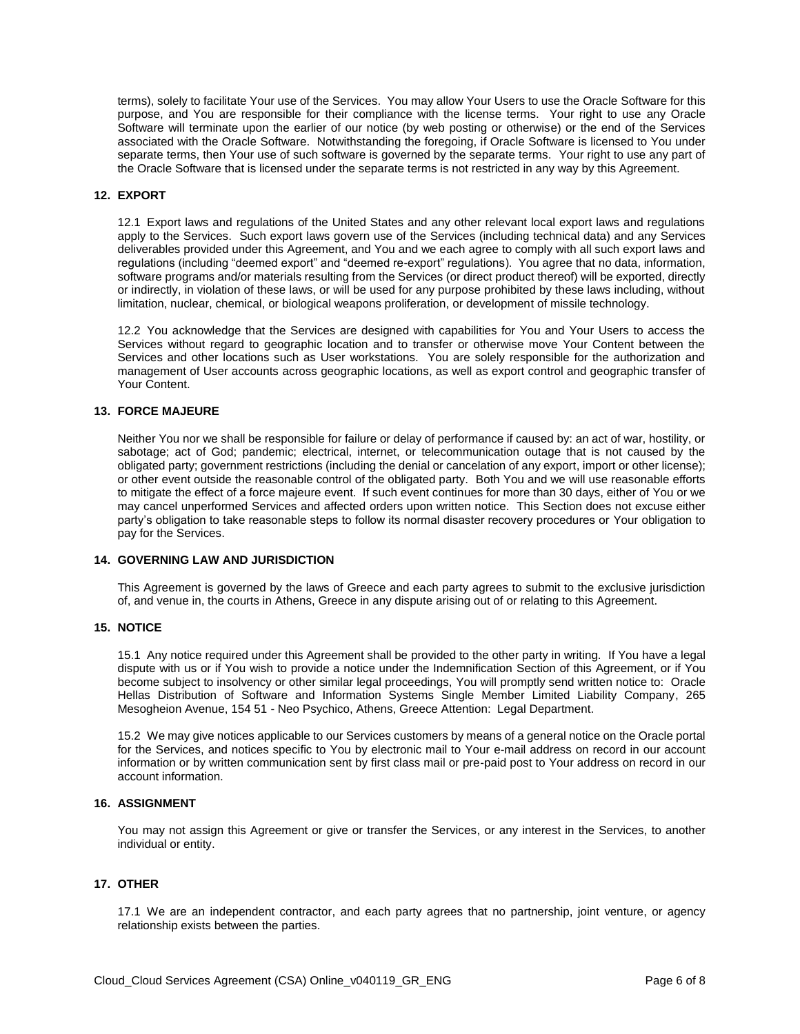terms), solely to facilitate Your use of the Services. You may allow Your Users to use the Oracle Software for this purpose, and You are responsible for their compliance with the license terms. Your right to use any Oracle Software will terminate upon the earlier of our notice (by web posting or otherwise) or the end of the Services associated with the Oracle Software. Notwithstanding the foregoing, if Oracle Software is licensed to You under separate terms, then Your use of such software is governed by the separate terms. Your right to use any part of the Oracle Software that is licensed under the separate terms is not restricted in any way by this Agreement.

#### **12. EXPORT**

 12.1 Export laws and regulations of the United States and any other relevant local export laws and regulations apply to the Services. Such export laws govern use of the Services (including technical data) and any Services regulations (including "deemed export" and "deemed re-export" regulations). You agree that no data, information, software programs and/or materials resulting from the Services (or direct product thereof) will be exported, directly or indirectly, in violation of these laws, or will be used for any purpose prohibited by these laws including, without limitation, nuclear, chemical, or biological weapons proliferation, or development of missile technology. deliverables provided under this Agreement, and You and we each agree to comply with all such export laws and

limitation, nuclear, chemical, or biological weapons proliferation, or development of missile technology.<br>12.2 You acknowledge that the Services are designed with capabilities for You and Your Users to access the Services without regard to geographic location and to transfer or otherwise move Your Content between the Services and other locations such as User workstations. You are solely responsible for the authorization and management of User accounts across geographic locations, as well as export control and geographic transfer of Your Content.

#### **13. FORCE MAJEURE**

 Neither You nor we shall be responsible for failure or delay of performance if caused by: an act of war, hostility, or sabotage; act of God; pandemic; electrical, internet, or telecommunication outage that is not caused by the obligated party; government restrictions (including the denial or cancelation of any export, import or other license); or other event outside the reasonable control of the obligated party. Both You and we will use reasonable efforts to mitigate the effect of a force majeure event. If such event continues for more than 30 days, either of You or we may cancel unperformed Services and affected orders upon written notice. This Section does not excuse either party's obligation to take reasonable steps to follow its normal disaster recovery procedures or Your obligation to pay for the Services.

#### **14. GOVERNING LAW AND JURISDICTION**

 This Agreement is governed by the laws of Greece and each party agrees to submit to the exclusive jurisdiction of, and venue in, the courts in Athens, Greece in any dispute arising out of or relating to this Agreement.

#### **15. NOTICE**

 dispute with us or if You wish to provide a notice under the Indemnification Section of this Agreement, or if You become subject to insolvency or other similar legal proceedings, You will promptly send written notice to: Oracle Hellas Distribution of Software and Information Systems Single Member Limited Liability Company, 265 Mesogheion Avenue, 154 51 - Neo Psychico, Athens, Greece Attention: Legal Department. 15.1 Any notice required under this Agreement shall be provided to the other party in writing. If You have a legal

 15.2 We may give notices applicable to our Services customers by means of a general notice on the Oracle portal for the Services, and notices specific to You by electronic mail to Your e-mail address on record in our account information or by written communication sent by first class mail or pre-paid post to Your address on record in our account information.

# **16. ASSIGNMENT**

 You may not assign this Agreement or give or transfer the Services, or any interest in the Services, to another individual or entity.

# **17. OTHER**

 17.1 We are an independent contractor, and each party agrees that no partnership, joint venture, or agency relationship exists between the parties.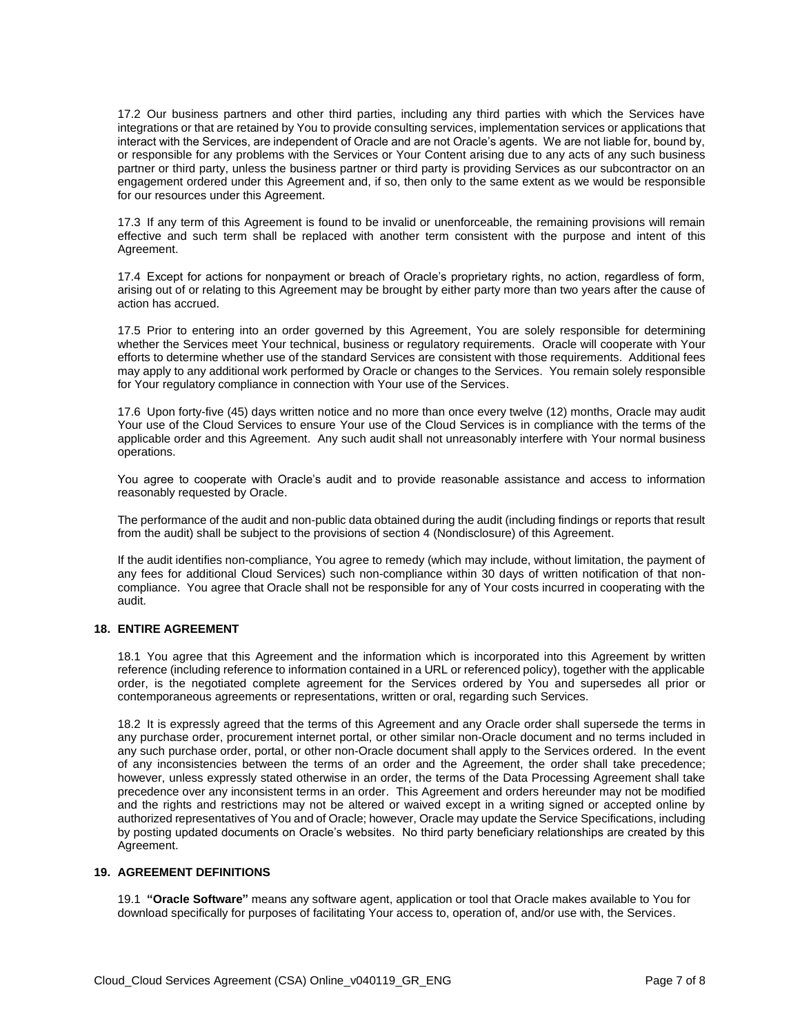17.2 Our business partners and other third parties, including any third parties with which the Services have integrations or that are retained by You to provide consulting services, implementation services or applications that interact with the Services, are independent of Oracle and are not Oracle's agents. We are not liable for, bound by, or responsible for any problems with the Services or Your Content arising due to any acts of any such business partner or third party, unless the business partner or third party is providing Services as our subcontractor on an engagement ordered under this Agreement and, if so, then only to the same extent as we would be responsible for our resources under this Agreement.

 17.3 If any term of this Agreement is found to be invalid or unenforceable, the remaining provisions will remain effective and such term shall be replaced with another term consistent with the purpose and intent of this Agreement.

 17.4 Except for actions for nonpayment or breach of Oracle's proprietary rights, no action, regardless of form, arising out of or relating to this Agreement may be brought by either party more than two years after the cause of action has accrued.

 17.5 Prior to entering into an order governed by this Agreement, You are solely responsible for determining whether the Services meet Your technical, business or regulatory requirements. Oracle will cooperate with Your efforts to determine whether use of the standard Services are consistent with those requirements. Additional fees may apply to any additional work performed by Oracle or changes to the Services. You remain solely responsible for Your regulatory compliance in connection with Your use of the Services.

for Your regulatory compliance in connection with Your use of the Services.<br>17.6 Upon forty-five (45) days written notice and no more than once every twelve (12) months, Oracle may audit Your use of the Cloud Services to ensure Your use of the Cloud Services is in compliance with the terms of the applicable order and this Agreement. Any such audit shall not unreasonably interfere with Your normal business operations.

 You agree to cooperate with Oracle's audit and to provide reasonable assistance and access to information reasonably requested by Oracle.

 The performance of the audit and non-public data obtained during the audit (including findings or reports that result from the audit) shall be subject to the provisions of section 4 (Nondisclosure) of this Agreement.

 If the audit identifies non-compliance, You agree to remedy (which may include, without limitation, the payment of any fees for additional Cloud Services) such non-compliance within 30 days of written notification of that non- compliance. You agree that Oracle shall not be responsible for any of Your costs incurred in cooperating with the audit.

# **18. ENTIRE AGREEMENT**

 18.1 You agree that this Agreement and the information which is incorporated into this Agreement by written reference (including reference to information contained in a URL or referenced policy), together with the applicable order, is the negotiated complete agreement for the Services ordered by You and supersedes all prior or contemporaneous agreements or representations, written or oral, regarding such Services.

 18.2 It is expressly agreed that the terms of this Agreement and any Oracle order shall supersede the terms in any purchase order, procurement internet portal, or other similar non-Oracle document and no terms included in any such purchase order, portal, or other non-Oracle document shall apply to the Services ordered. In the event of any inconsistencies between the terms of an order and the Agreement, the order shall take precedence; however, unless expressly stated otherwise in an order, the terms of the Data Processing Agreement shall take precedence over any inconsistent terms in an order. This Agreement and orders hereunder may not be modified and the rights and restrictions may not be altered or waived except in a writing signed or accepted online by authorized representatives of You and of Oracle; however, Oracle may update the Service Specifications, including by posting updated documents on Oracle's websites. No third party beneficiary relationships are created by this Agreement.

#### **19. AGREEMENT DEFINITIONS**

19.1 **"Oracle Software"** means any software agent, application or tool that Oracle makes available to You for download specifically for purposes of facilitating Your access to, operation of, and/or use with, the Services.